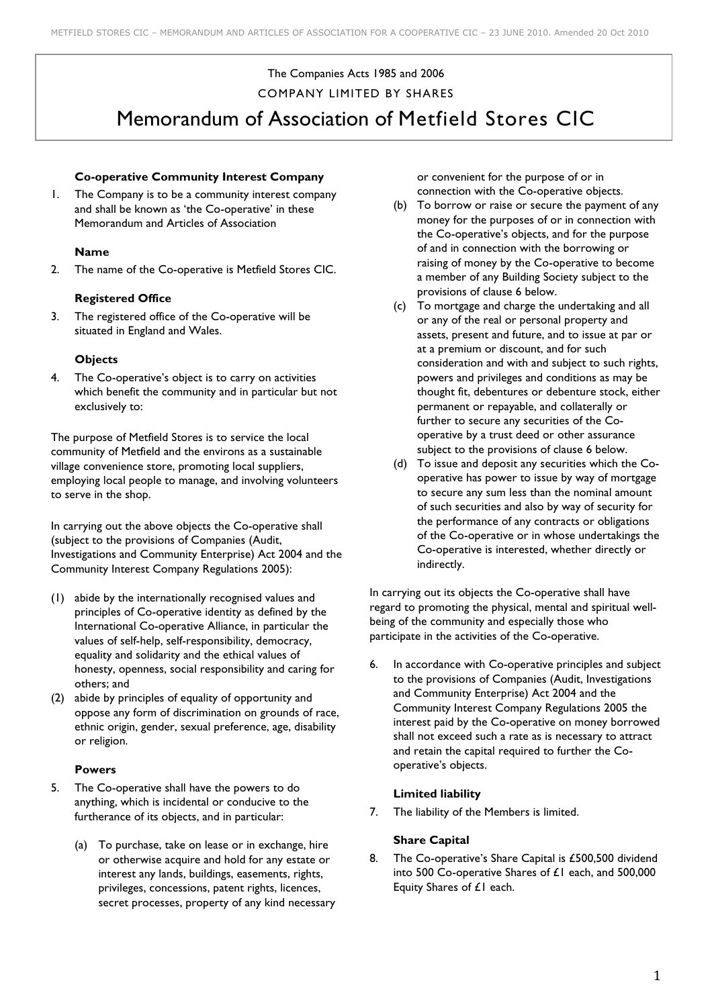# The Companies Acts 1985 and 2006 COMPANY LIMITED BY SHARES Memorandum of Association of Metfield Stores CIC

### **Co-operative Community Interest Company**

1. The Company is to be a community interest company and shall be known as 'the Co-operative' in these Memorandum and Articles of Association

#### **Name**

2. The name of the Co-operative is Metfield Stores CIC.

#### **Registered Office**

3. The registered office of the Co-operative will be situated in England and Wales.

### **Objects**

4. The Co-operative's object is to carry on activities which benefit the community and in particular but not exclusively to:

The purpose of Metfield Stores is to service the local community of Metfield and the environs as a sustainable village convenience store, promoting local suppliers, employing local people to manage, and involving volunteers to serve in the shop.

In carrying out the above objects the Co-operative shall (subject to the provisions of Companies (Audit, Investigations and Community Enterprise) Act 2004 and the Community Interest Company Regulations 2005):

- (1) abide by the internationally recognised values and principles of Co-operative identity as defined by the International Co-operative Alliance, in particular the values of self-help, self-responsibility, democracy, equality and solidarity and the ethical values of honesty, openness, social responsibility and caring for others; and
- (2) abide by principles of equality of opportunity and oppose any form of discrimination on grounds of race, ethnic origin, gender, sexual preference, age, disability or religion.

#### **Powers**

- 5. The Co-operative shall have the powers to do anything, which is incidental or conducive to the furtherance of its objects, and in particular:
	- (a) To purchase, take on lease or in exchange, hire or otherwise acquire and hold for any estate or interest any lands, buildings, easements, rights, privileges, concessions, patent rights, licences, secret processes, property of any kind necessary

or convenient for the purpose of or in connection with the Co-operative objects.

- (b) To borrow or raise or secure the payment of any money for the purposes of or in connection with the Co-operative's objects, and for the purpose of and in connection with the borrowing or raising of money by the Co-operative to become a member of any Building Society subject to the provisions of clause 6 below.
- (c) To mortgage and charge the undertaking and all or any of the real or personal property and assets, present and future, and to issue at par or at a premium or discount, and for such consideration and with and subject to such rights, powers and privileges and conditions as may be thought fit, debentures or debenture stock, either permanent or repayable, and collaterally or further to secure any securities of the Cooperative by a trust deed or other assurance subject to the provisions of clause 6 below.
- (d) To issue and deposit any securities which the Cooperative has power to issue by way of mortgage to secure any sum less than the nominal amount of such securities and also by way of security for the performance of any contracts or obligations of the Co-operative or in whose undertakings the Co-operative is interested, whether directly or indirectly.

In carrying out its objects the Co-operative shall have regard to promoting the physical, mental and spiritual wellbeing of the community and especially those who participate in the activities of the Co-operative.

6. In accordance with Co-operative principles and subject to the provisions of Companies (Audit, Investigations and Community Enterprise) Act 2004 and the Community Interest Company Regulations 2005 the interest paid by the Co-operative on money borrowed shall not exceed such a rate as is necessary to attract and retain the capital required to further the Cooperative's objects.

#### **Limited liability**

7. The liability of the Members is limited.

#### **Share Capital**

8. The Co-operative's Share Capital is £500,500 dividend into 500 Co-operative Shares of £1 each, and 500,000 Equity Shares of £1 each.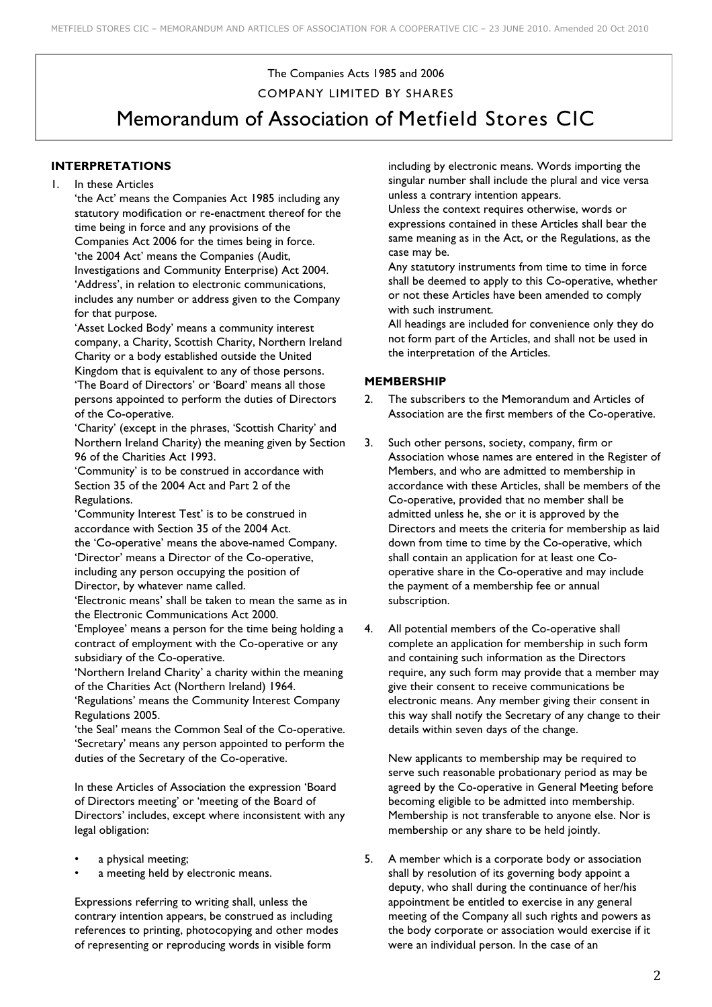# The Companies Acts 1985 and 2006 COMPANY LIMITED BY SHARES

Memorandum of Association of Metfield Stores CIC

# **INTERPRETATIONS**

1. In these Articles

'the Act' means the Companies Act 1985 including any statutory modification or re-enactment thereof for the time being in force and any provisions of the Companies Act 2006 for the times being in force. 'the 2004 Act' means the Companies (Audit, Investigations and Community Enterprise) Act 2004. 'Address', in relation to electronic communications, includes any number or address given to the Company for that purpose.

'Asset Locked Body' means a community interest company, a Charity, Scottish Charity, Northern Ireland Charity or a body established outside the United Kingdom that is equivalent to any of those persons.

'The Board of Directors' or 'Board' means all those persons appointed to perform the duties of Directors of the Co-operative.

'Charity' (except in the phrases, 'Scottish Charity' and Northern Ireland Charity) the meaning given by Section 96 of the Charities Act 1993.

'Community' is to be construed in accordance with Section 35 of the 2004 Act and Part 2 of the Regulations.

'Community Interest Test' is to be construed in accordance with Section 35 of the 2004 Act. the 'Co-operative' means the above-named Company. 'Director' means a Director of the Co-operative, including any person occupying the position of Director, by whatever name called.

'Electronic means' shall be taken to mean the same as in the Electronic Communications Act 2000.

'Employee' means a person for the time being holding a contract of employment with the Co-operative or any subsidiary of the Co-operative.

'Northern Ireland Charity' a charity within the meaning of the Charities Act (Northern Ireland) 1964.

'Regulations' means the Community Interest Company Regulations 2005.

'the Seal' means the Common Seal of the Co-operative. 'Secretary' means any person appointed to perform the duties of the Secretary of the Co-operative.

In these Articles of Association the expression 'Board of Directors meeting' or 'meeting of the Board of Directors' includes, except where inconsistent with any legal obligation:

- a physical meeting;
- a meeting held by electronic means.

Expressions referring to writing shall, unless the contrary intention appears, be construed as including references to printing, photocopying and other modes of representing or reproducing words in visible form

including by electronic means. Words importing the singular number shall include the plural and vice versa unless a contrary intention appears.

Unless the context requires otherwise, words or expressions contained in these Articles shall bear the same meaning as in the Act, or the Regulations, as the case may be.

Any statutory instruments from time to time in force shall be deemed to apply to this Co-operative, whether or not these Articles have been amended to comply with such instrument.

All headings are included for convenience only they do not form part of the Articles, and shall not be used in the interpretation of the Articles.

### **MEMBERSHIP**

- 2. The subscribers to the Memorandum and Articles of Association are the first members of the Co-operative.
- 3. Such other persons, society, company, firm or Association whose names are entered in the Register of Members, and who are admitted to membership in accordance with these Articles, shall be members of the Co-operative, provided that no member shall be admitted unless he, she or it is approved by the Directors and meets the criteria for membership as laid down from time to time by the Co-operative, which shall contain an application for at least one Cooperative share in the Co-operative and may include the payment of a membership fee or annual subscription.
- 4. All potential members of the Co-operative shall complete an application for membership in such form and containing such information as the Directors require, any such form may provide that a member may give their consent to receive communications be electronic means. Any member giving their consent in this way shall notify the Secretary of any change to their details within seven days of the change.

New applicants to membership may be required to serve such reasonable probationary period as may be agreed by the Co-operative in General Meeting before becoming eligible to be admitted into membership. Membership is not transferable to anyone else. Nor is membership or any share to be held jointly.

5. A member which is a corporate body or association shall by resolution of its governing body appoint a deputy, who shall during the continuance of her/his appointment be entitled to exercise in any general meeting of the Company all such rights and powers as the body corporate or association would exercise if it were an individual person. In the case of an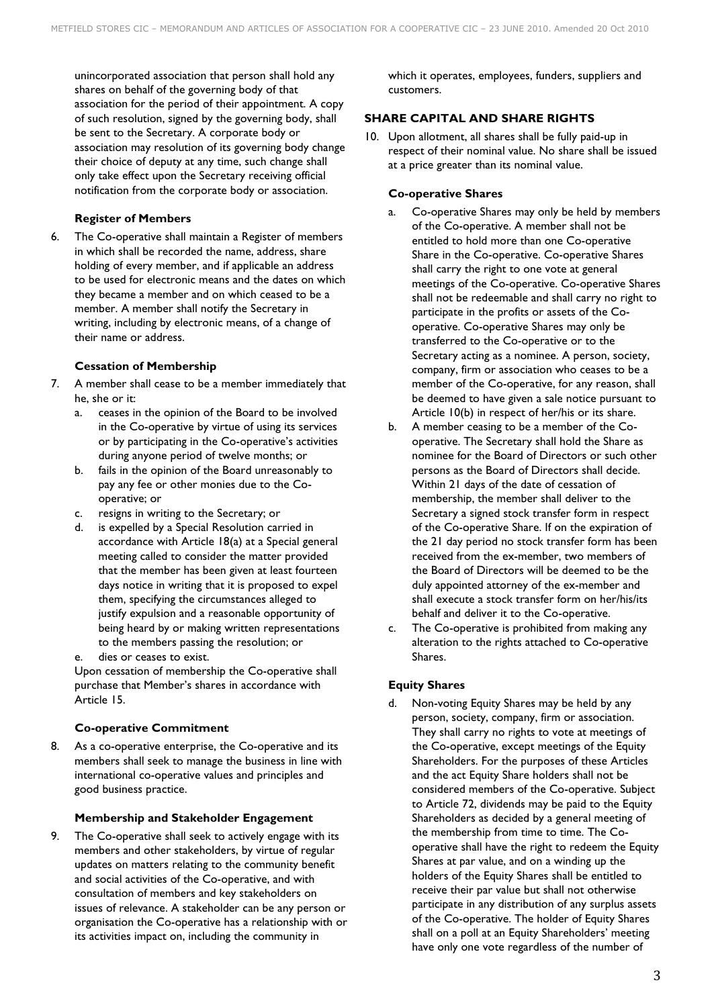unincorporated association that person shall hold any shares on behalf of the governing body of that association for the period of their appointment. A copy of such resolution, signed by the governing body, shall be sent to the Secretary. A corporate body or association may resolution of its governing body change their choice of deputy at any time, such change shall only take effect upon the Secretary receiving official notification from the corporate body or association.

### **Register of Members**

6. The Co-operative shall maintain a Register of members in which shall be recorded the name, address, share holding of every member, and if applicable an address to be used for electronic means and the dates on which they became a member and on which ceased to be a member. A member shall notify the Secretary in writing, including by electronic means, of a change of their name or address.

### **Cessation of Membership**

- 7. A member shall cease to be a member immediately that he, she or it:
	- a. ceases in the opinion of the Board to be involved in the Co-operative by virtue of using its services or by participating in the Co-operative's activities during anyone period of twelve months; or
	- b. fails in the opinion of the Board unreasonably to pay any fee or other monies due to the Cooperative; or
	- c. resigns in writing to the Secretary; or
	- d. is expelled by a Special Resolution carried in accordance with Article 18(a) at a Special general meeting called to consider the matter provided that the member has been given at least fourteen days notice in writing that it is proposed to expel them, specifying the circumstances alleged to justify expulsion and a reasonable opportunity of being heard by or making written representations to the members passing the resolution; or
	- dies or ceases to exist.

Upon cessation of membership the Co-operative shall purchase that Member's shares in accordance with Article 15.

### **Co-operative Commitment**

8. As a co-operative enterprise, the Co-operative and its members shall seek to manage the business in line with international co-operative values and principles and good business practice.

### **Membership and Stakeholder Engagement**

9. The Co-operative shall seek to actively engage with its members and other stakeholders, by virtue of regular updates on matters relating to the community benefit and social activities of the Co-operative, and with consultation of members and key stakeholders on issues of relevance. A stakeholder can be any person or organisation the Co-operative has a relationship with or its activities impact on, including the community in

which it operates, employees, funders, suppliers and customers.

# **SHARE CAPITAL AND SHARE RIGHTS**

10. Upon allotment, all shares shall be fully paid-up in respect of their nominal value. No share shall be issued at a price greater than its nominal value.

# **Co-operative Shares**

- a. Co-operative Shares may only be held by members of the Co-operative. A member shall not be entitled to hold more than one Co-operative Share in the Co-operative. Co-operative Shares shall carry the right to one vote at general meetings of the Co-operative. Co-operative Shares shall not be redeemable and shall carry no right to participate in the profits or assets of the Cooperative. Co-operative Shares may only be transferred to the Co-operative or to the Secretary acting as a nominee. A person, society, company, firm or association who ceases to be a member of the Co-operative, for any reason, shall be deemed to have given a sale notice pursuant to Article 10(b) in respect of her/his or its share.
- b. A member ceasing to be a member of the Cooperative. The Secretary shall hold the Share as nominee for the Board of Directors or such other persons as the Board of Directors shall decide. Within 21 days of the date of cessation of membership, the member shall deliver to the Secretary a signed stock transfer form in respect of the Co-operative Share. If on the expiration of the 21 day period no stock transfer form has been received from the ex-member, two members of the Board of Directors will be deemed to be the duly appointed attorney of the ex-member and shall execute a stock transfer form on her/his/its behalf and deliver it to the Co-operative.
- c. The Co-operative is prohibited from making any alteration to the rights attached to Co-operative Shares.

## **Equity Shares**

d. Non-voting Equity Shares may be held by any person, society, company, firm or association. They shall carry no rights to vote at meetings of the Co-operative, except meetings of the Equity Shareholders. For the purposes of these Articles and the act Equity Share holders shall not be considered members of the Co-operative. Subject to Article 72, dividends may be paid to the Equity Shareholders as decided by a general meeting of the membership from time to time. The Cooperative shall have the right to redeem the Equity Shares at par value, and on a winding up the holders of the Equity Shares shall be entitled to receive their par value but shall not otherwise participate in any distribution of any surplus assets of the Co-operative. The holder of Equity Shares shall on a poll at an Equity Shareholders' meeting have only one vote regardless of the number of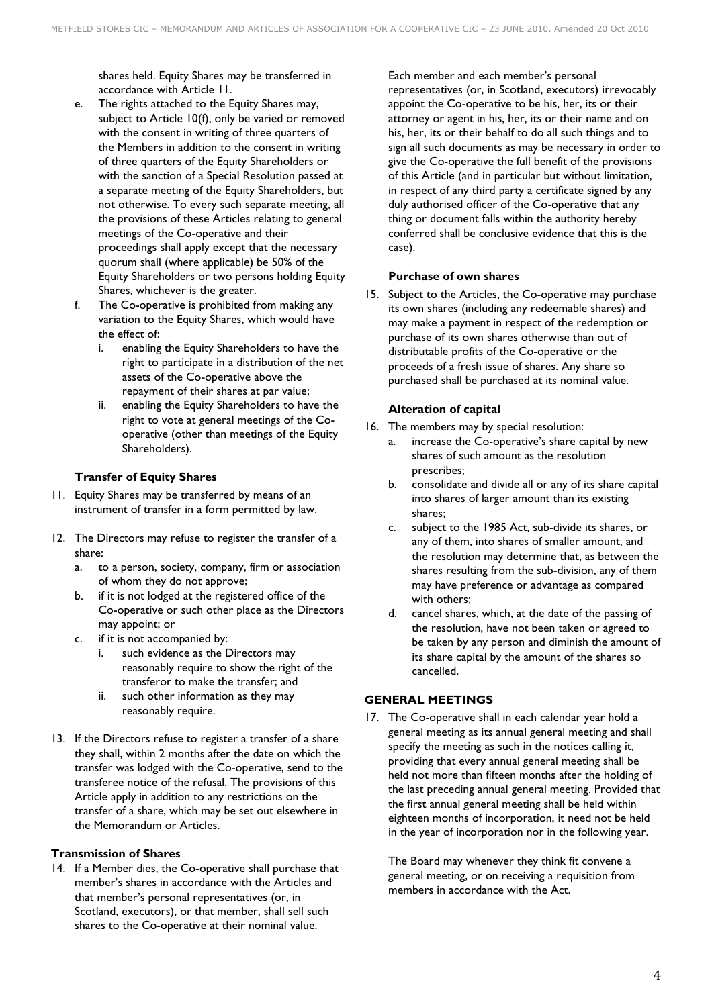shares held. Equity Shares may be transferred in accordance with Article 11.

- e. The rights attached to the Equity Shares may, subject to Article 10(f), only be varied or removed with the consent in writing of three quarters of the Members in addition to the consent in writing of three quarters of the Equity Shareholders or with the sanction of a Special Resolution passed at a separate meeting of the Equity Shareholders, but not otherwise. To every such separate meeting, all the provisions of these Articles relating to general meetings of the Co-operative and their proceedings shall apply except that the necessary quorum shall (where applicable) be 50% of the Equity Shareholders or two persons holding Equity Shares, whichever is the greater.
- f. The Co-operative is prohibited from making any variation to the Equity Shares, which would have the effect of:
	- i. enabling the Equity Shareholders to have the right to participate in a distribution of the net assets of the Co-operative above the repayment of their shares at par value;
	- ii. enabling the Equity Shareholders to have the right to vote at general meetings of the Cooperative (other than meetings of the Equity Shareholders).

## **Transfer of Equity Shares**

- 11. Equity Shares may be transferred by means of an instrument of transfer in a form permitted by law.
- 12. The Directors may refuse to register the transfer of a share:
	- a. to a person, society, company, firm or association of whom they do not approve;
	- b. if it is not lodged at the registered office of the Co-operative or such other place as the Directors may appoint; or
	- c. if it is not accompanied by:
		- i. such evidence as the Directors may reasonably require to show the right of the transferor to make the transfer; and
		- ii. such other information as they may reasonably require.
- 13. If the Directors refuse to register a transfer of a share they shall, within 2 months after the date on which the transfer was lodged with the Co-operative, send to the transferee notice of the refusal. The provisions of this Article apply in addition to any restrictions on the transfer of a share, which may be set out elsewhere in the Memorandum or Articles.

## **Transmission of Shares**

14. If a Member dies, the Co-operative shall purchase that member's shares in accordance with the Articles and that member's personal representatives (or, in Scotland, executors), or that member, shall sell such shares to the Co-operative at their nominal value.

Each member and each member's personal representatives (or, in Scotland, executors) irrevocably appoint the Co-operative to be his, her, its or their attorney or agent in his, her, its or their name and on his, her, its or their behalf to do all such things and to sign all such documents as may be necessary in order to give the Co-operative the full benefit of the provisions of this Article (and in particular but without limitation, in respect of any third party a certificate signed by any duly authorised officer of the Co-operative that any thing or document falls within the authority hereby conferred shall be conclusive evidence that this is the case).

#### **Purchase of own shares**

15. Subject to the Articles, the Co-operative may purchase its own shares (including any redeemable shares) and may make a payment in respect of the redemption or purchase of its own shares otherwise than out of distributable profits of the Co-operative or the proceeds of a fresh issue of shares. Any share so purchased shall be purchased at its nominal value.

### **Alteration of capital**

- 16. The members may by special resolution:
	- a. increase the Co-operative's share capital by new shares of such amount as the resolution prescribes;
	- b. consolidate and divide all or any of its share capital into shares of larger amount than its existing shares;
	- c. subject to the 1985 Act, sub-divide its shares, or any of them, into shares of smaller amount, and the resolution may determine that, as between the shares resulting from the sub-division, any of them may have preference or advantage as compared with others;
	- d. cancel shares, which, at the date of the passing of the resolution, have not been taken or agreed to be taken by any person and diminish the amount of its share capital by the amount of the shares so cancelled.

## **GENERAL MEETINGS**

17. The Co-operative shall in each calendar year hold a general meeting as its annual general meeting and shall specify the meeting as such in the notices calling it, providing that every annual general meeting shall be held not more than fifteen months after the holding of the last preceding annual general meeting. Provided that the first annual general meeting shall be held within eighteen months of incorporation, it need not be held in the year of incorporation nor in the following year.

The Board may whenever they think fit convene a general meeting, or on receiving a requisition from members in accordance with the Act.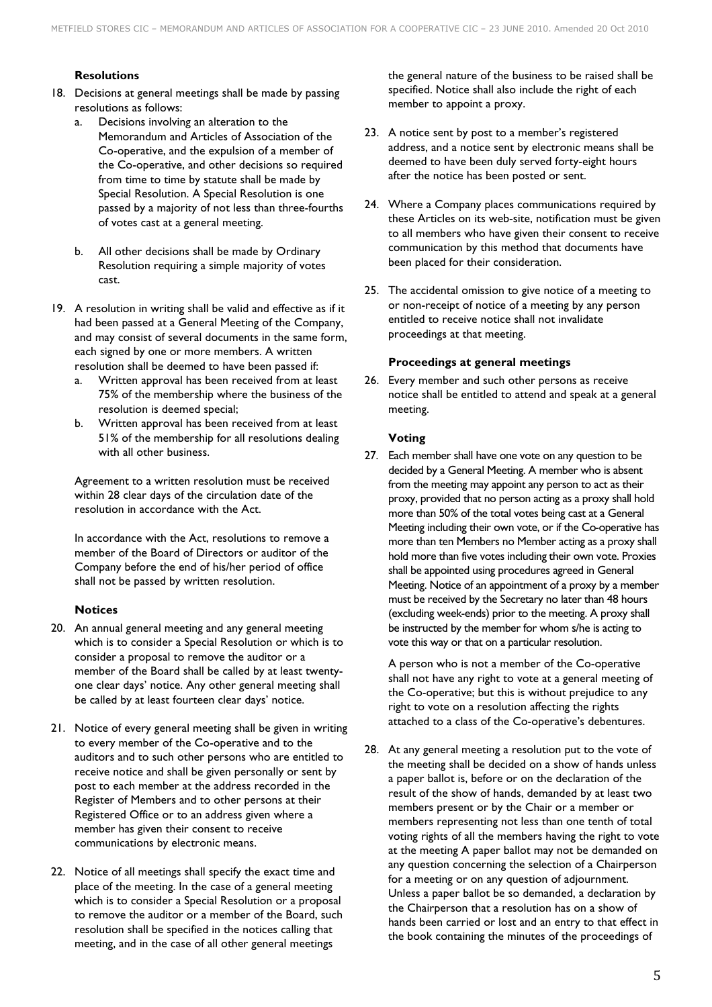### **Resolutions**

- 18. Decisions at general meetings shall be made by passing resolutions as follows:
	- a. Decisions involving an alteration to the Memorandum and Articles of Association of the Co-operative, and the expulsion of a member of the Co-operative, and other decisions so required from time to time by statute shall be made by Special Resolution. A Special Resolution is one passed by a majority of not less than three-fourths of votes cast at a general meeting.
	- b. All other decisions shall be made by Ordinary Resolution requiring a simple majority of votes cast.
- 19. A resolution in writing shall be valid and effective as if it had been passed at a General Meeting of the Company, and may consist of several documents in the same form, each signed by one or more members. A written resolution shall be deemed to have been passed if:
	- a. Written approval has been received from at least 75% of the membership where the business of the resolution is deemed special;
	- b. Written approval has been received from at least 51% of the membership for all resolutions dealing with all other business.

Agreement to a written resolution must be received within 28 clear days of the circulation date of the resolution in accordance with the Act.

In accordance with the Act, resolutions to remove a member of the Board of Directors or auditor of the Company before the end of his/her period of office shall not be passed by written resolution.

#### **Notices**

- 20. An annual general meeting and any general meeting which is to consider a Special Resolution or which is to consider a proposal to remove the auditor or a member of the Board shall be called by at least twentyone clear days' notice. Any other general meeting shall be called by at least fourteen clear days' notice.
- 21. Notice of every general meeting shall be given in writing to every member of the Co-operative and to the auditors and to such other persons who are entitled to receive notice and shall be given personally or sent by post to each member at the address recorded in the Register of Members and to other persons at their Registered Office or to an address given where a member has given their consent to receive communications by electronic means.
- 22. Notice of all meetings shall specify the exact time and place of the meeting. In the case of a general meeting which is to consider a Special Resolution or a proposal to remove the auditor or a member of the Board, such resolution shall be specified in the notices calling that meeting, and in the case of all other general meetings

the general nature of the business to be raised shall be specified. Notice shall also include the right of each member to appoint a proxy.

- 23. A notice sent by post to a member's registered address, and a notice sent by electronic means shall be deemed to have been duly served forty-eight hours after the notice has been posted or sent.
- 24. Where a Company places communications required by these Articles on its web-site, notification must be given to all members who have given their consent to receive communication by this method that documents have been placed for their consideration.
- 25. The accidental omission to give notice of a meeting to or non-receipt of notice of a meeting by any person entitled to receive notice shall not invalidate proceedings at that meeting.

#### **Proceedings at general meetings**

26. Every member and such other persons as receive notice shall be entitled to attend and speak at a general meeting.

#### **Voting**

27. Each member shall have one vote on any question to be decided by a General Meeting. A member who is absent from the meeting may appoint any person to act as their proxy, provided that no person acting as a proxy shall hold more than 50% of the total votes being cast at a General Meeting including their own vote, or if the Co-operative has more than ten Members no Member acting as a proxy shall hold more than five votes including their own vote. Proxies shall be appointed using procedures agreed in General Meeting. Notice of an appointment of a proxy by a member must be received by the Secretary no later than 48 hours (excluding week-ends) prior to the meeting. A proxy shall be instructed by the member for whom s/he is acting to vote this way or that on a particular resolution.

A person who is not a member of the Co-operative shall not have any right to vote at a general meeting of the Co-operative; but this is without prejudice to any right to vote on a resolution affecting the rights attached to a class of the Co-operative's debentures.

28. At any general meeting a resolution put to the vote of the meeting shall be decided on a show of hands unless a paper ballot is, before or on the declaration of the result of the show of hands, demanded by at least two members present or by the Chair or a member or members representing not less than one tenth of total voting rights of all the members having the right to vote at the meeting A paper ballot may not be demanded on any question concerning the selection of a Chairperson for a meeting or on any question of adjournment. Unless a paper ballot be so demanded, a declaration by the Chairperson that a resolution has on a show of hands been carried or lost and an entry to that effect in the book containing the minutes of the proceedings of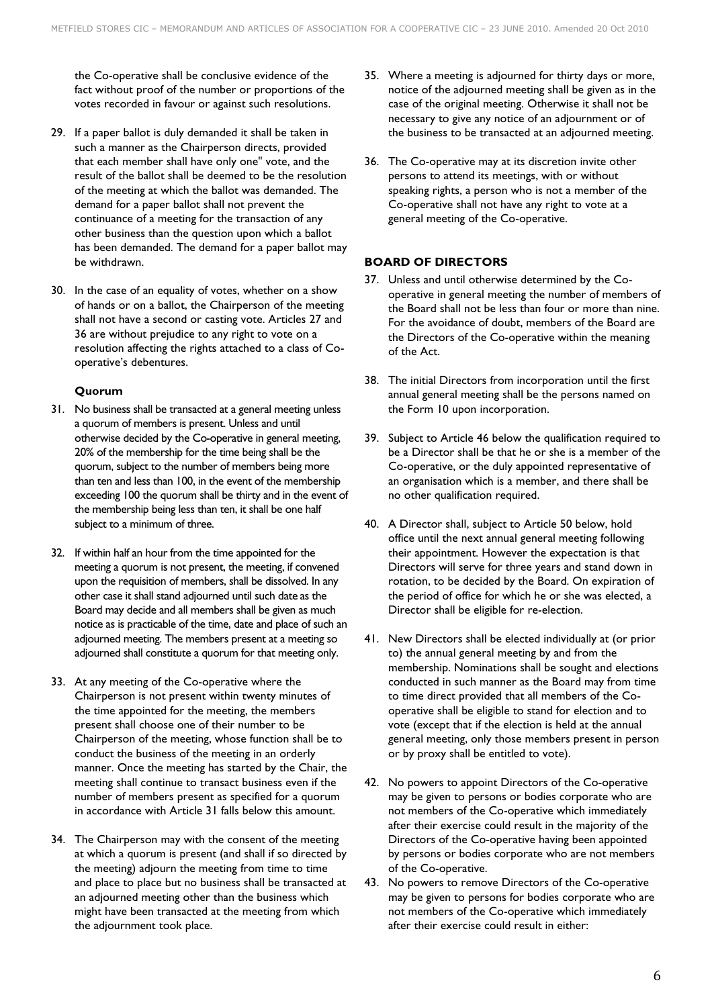the Co-operative shall be conclusive evidence of the fact without proof of the number or proportions of the votes recorded in favour or against such resolutions.

- 29. If a paper ballot is duly demanded it shall be taken in such a manner as the Chairperson directs, provided that each member shall have only one" vote, and the result of the ballot shall be deemed to be the resolution of the meeting at which the ballot was demanded. The demand for a paper ballot shall not prevent the continuance of a meeting for the transaction of any other business than the question upon which a ballot has been demanded. The demand for a paper ballot may be withdrawn.
- 30. In the case of an equality of votes, whether on a show of hands or on a ballot, the Chairperson of the meeting shall not have a second or casting vote. Articles 27 and 36 are without prejudice to any right to vote on a resolution affecting the rights attached to a class of Cooperative's debentures.

# **Quorum**

- 31. No business shall be transacted at a general meeting unless a quorum of members is present. Unless and until otherwise decided by the Co-operative in general meeting, 20% of the membership for the time being shall be the quorum, subject to the number of members being more than ten and less than 100, in the event of the membership exceeding 100 the quorum shall be thirty and in the event of the membership being less than ten, it shall be one half subject to a minimum of three.
- 32. If within half an hour from the time appointed for the meeting a quorum is not present, the meeting, if convened upon the requisition of members, shall be dissolved. In any other case it shall stand adjourned until such date as the Board may decide and all members shall be given as much notice as is practicable of the time, date and place of such an adjourned meeting. The members present at a meeting so adjourned shall constitute a quorum for that meeting only.
- 33. At any meeting of the Co-operative where the Chairperson is not present within twenty minutes of the time appointed for the meeting, the members present shall choose one of their number to be Chairperson of the meeting, whose function shall be to conduct the business of the meeting in an orderly manner. Once the meeting has started by the Chair, the meeting shall continue to transact business even if the number of members present as specified for a quorum in accordance with Article 31 falls below this amount.
- 34. The Chairperson may with the consent of the meeting at which a quorum is present (and shall if so directed by the meeting) adjourn the meeting from time to time and place to place but no business shall be transacted at an adjourned meeting other than the business which might have been transacted at the meeting from which the adjournment took place.
- 35. Where a meeting is adjourned for thirty days or more, notice of the adjourned meeting shall be given as in the case of the original meeting. Otherwise it shall not be necessary to give any notice of an adjournment or of the business to be transacted at an adjourned meeting.
- 36. The Co-operative may at its discretion invite other persons to attend its meetings, with or without speaking rights, a person who is not a member of the Co-operative shall not have any right to vote at a general meeting of the Co-operative.

# **BOARD OF DIRECTORS**

- 37. Unless and until otherwise determined by the Cooperative in general meeting the number of members of the Board shall not be less than four or more than nine. For the avoidance of doubt, members of the Board are the Directors of the Co-operative within the meaning of the Act.
- 38. The initial Directors from incorporation until the first annual general meeting shall be the persons named on the Form 10 upon incorporation.
- 39. Subject to Article 46 below the qualification required to be a Director shall be that he or she is a member of the Co-operative, or the duly appointed representative of an organisation which is a member, and there shall be no other qualification required.
- 40. A Director shall, subject to Article 50 below, hold office until the next annual general meeting following their appointment. However the expectation is that Directors will serve for three years and stand down in rotation, to be decided by the Board. On expiration of the period of office for which he or she was elected, a Director shall be eligible for re-election.
- 41. New Directors shall be elected individually at (or prior to) the annual general meeting by and from the membership. Nominations shall be sought and elections conducted in such manner as the Board may from time to time direct provided that all members of the Cooperative shall be eligible to stand for election and to vote (except that if the election is held at the annual general meeting, only those members present in person or by proxy shall be entitled to vote).
- 42. No powers to appoint Directors of the Co-operative may be given to persons or bodies corporate who are not members of the Co-operative which immediately after their exercise could result in the majority of the Directors of the Co-operative having been appointed by persons or bodies corporate who are not members of the Co-operative.
- 43. No powers to remove Directors of the Co-operative may be given to persons for bodies corporate who are not members of the Co-operative which immediately after their exercise could result in either: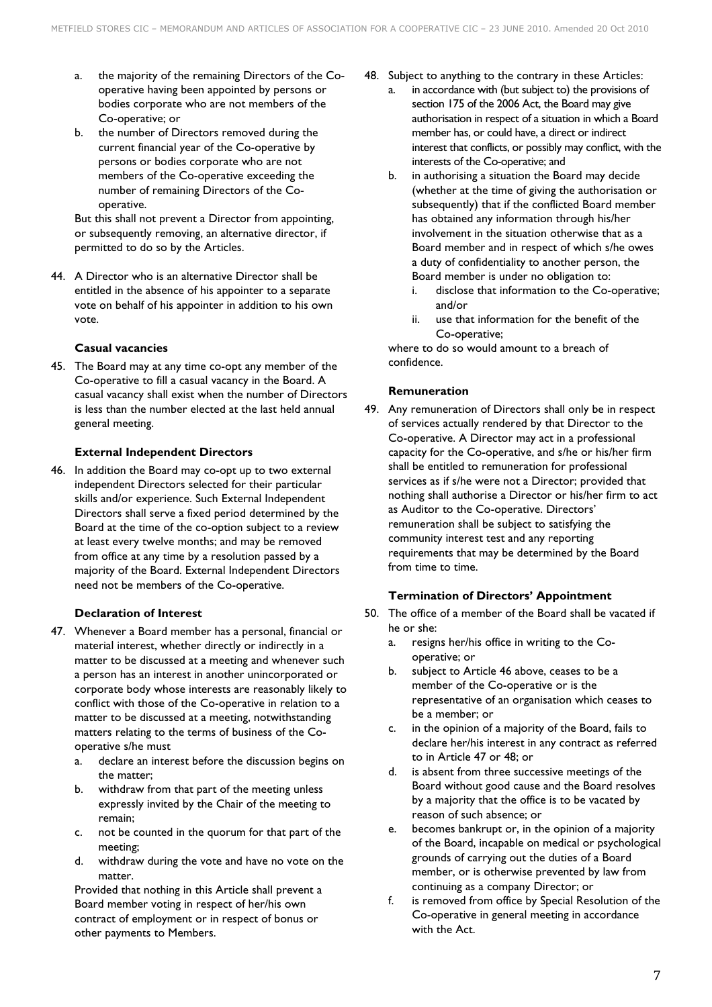- a. the majority of the remaining Directors of the Cooperative having been appointed by persons or bodies corporate who are not members of the Co-operative; or
- b. the number of Directors removed during the current financial year of the Co-operative by persons or bodies corporate who are not members of the Co-operative exceeding the number of remaining Directors of the Cooperative.

But this shall not prevent a Director from appointing, or subsequently removing, an alternative director, if permitted to do so by the Articles.

44. A Director who is an alternative Director shall be entitled in the absence of his appointer to a separate vote on behalf of his appointer in addition to his own vote.

## **Casual vacancies**

45. The Board may at any time co-opt any member of the Co-operative to fill a casual vacancy in the Board. A casual vacancy shall exist when the number of Directors is less than the number elected at the last held annual general meeting.

### **External Independent Directors**

46. In addition the Board may co-opt up to two external independent Directors selected for their particular skills and/or experience. Such External Independent Directors shall serve a fixed period determined by the Board at the time of the co-option subject to a review at least every twelve months; and may be removed from office at any time by a resolution passed by a majority of the Board. External Independent Directors need not be members of the Co-operative.

### **Declaration of Interest**

- 47. Whenever a Board member has a personal, financial or material interest, whether directly or indirectly in a matter to be discussed at a meeting and whenever such a person has an interest in another unincorporated or corporate body whose interests are reasonably likely to conflict with those of the Co-operative in relation to a matter to be discussed at a meeting, notwithstanding matters relating to the terms of business of the Cooperative s/he must
	- a. declare an interest before the discussion begins on the matter;
	- b. withdraw from that part of the meeting unless expressly invited by the Chair of the meeting to remain;
	- c. not be counted in the quorum for that part of the meeting;
	- d. withdraw during the vote and have no vote on the matter.

Provided that nothing in this Article shall prevent a Board member voting in respect of her/his own contract of employment or in respect of bonus or other payments to Members.

- 48. Subject to anything to the contrary in these Articles:
	- a. in accordance with (but subject to) the provisions of section 175 of the 2006 Act, the Board may give authorisation in respect of a situation in which a Board member has, or could have, a direct or indirect interest that conflicts, or possibly may conflict, with the interests of the Co-operative; and
	- b. in authorising a situation the Board may decide (whether at the time of giving the authorisation or subsequently) that if the conflicted Board member has obtained any information through his/her involvement in the situation otherwise that as a Board member and in respect of which s/he owes a duty of confidentiality to another person, the Board member is under no obligation to:
		- i. disclose that information to the Co-operative; and/or
		- ii. use that information for the benefit of the Co-operative;

where to do so would amount to a breach of confidence.

## **Remuneration**

49. Any remuneration of Directors shall only be in respect of services actually rendered by that Director to the Co-operative. A Director may act in a professional capacity for the Co-operative, and s/he or his/her firm shall be entitled to remuneration for professional services as if s/he were not a Director; provided that nothing shall authorise a Director or his/her firm to act as Auditor to the Co-operative. Directors' remuneration shall be subject to satisfying the community interest test and any reporting requirements that may be determined by the Board from time to time.

## **Termination of Directors' Appointment**

- 50. The office of a member of the Board shall be vacated if he or she:
	- a. resigns her/his office in writing to the Cooperative; or
	- b. subject to Article 46 above, ceases to be a member of the Co-operative or is the representative of an organisation which ceases to be a member; or
	- c. in the opinion of a majority of the Board, fails to declare her/his interest in any contract as referred to in Article 47 or 48; or
	- d. is absent from three successive meetings of the Board without good cause and the Board resolves by a majority that the office is to be vacated by reason of such absence; or
	- e. becomes bankrupt or, in the opinion of a majority of the Board, incapable on medical or psychological grounds of carrying out the duties of a Board member, or is otherwise prevented by law from continuing as a company Director; or
	- f. is removed from office by Special Resolution of the Co-operative in general meeting in accordance with the Act.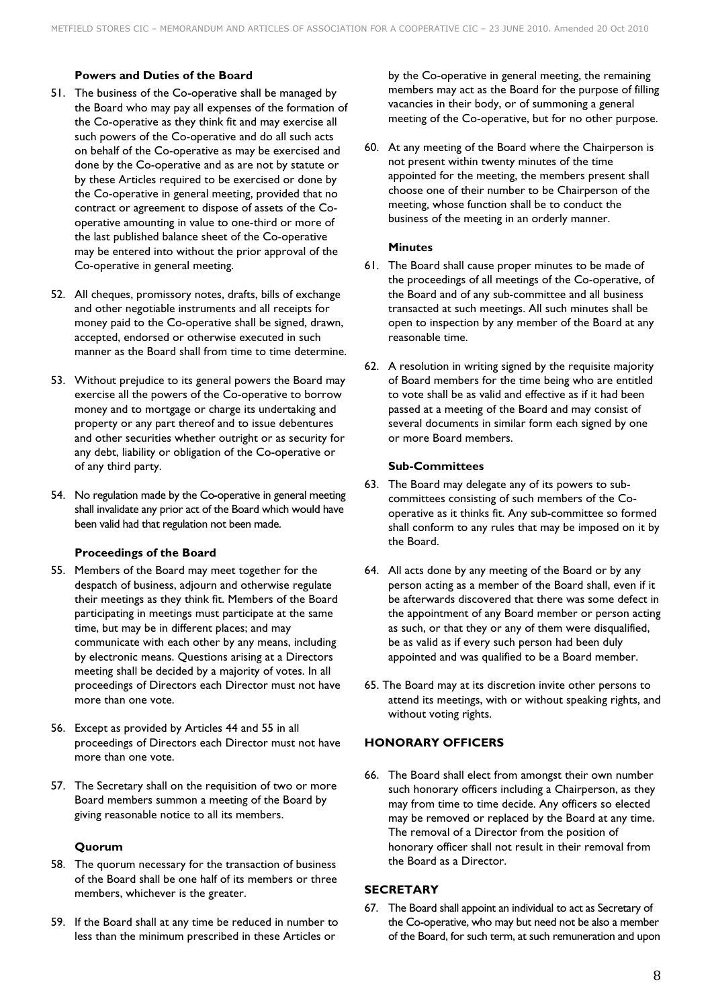### **Powers and Duties of the Board**

- 51. The business of the Co-operative shall be managed by the Board who may pay all expenses of the formation of the Co-operative as they think fit and may exercise all such powers of the Co-operative and do all such acts on behalf of the Co-operative as may be exercised and done by the Co-operative and as are not by statute or by these Articles required to be exercised or done by the Co-operative in general meeting, provided that no contract or agreement to dispose of assets of the Cooperative amounting in value to one-third or more of the last published balance sheet of the Co-operative may be entered into without the prior approval of the Co-operative in general meeting.
- 52. All cheques, promissory notes, drafts, bills of exchange and other negotiable instruments and all receipts for money paid to the Co-operative shall be signed, drawn, accepted, endorsed or otherwise executed in such manner as the Board shall from time to time determine.
- 53. Without prejudice to its general powers the Board may exercise all the powers of the Co-operative to borrow money and to mortgage or charge its undertaking and property or any part thereof and to issue debentures and other securities whether outright or as security for any debt, liability or obligation of the Co-operative or of any third party.
- 54. No regulation made by the Co-operative in general meeting shall invalidate any prior act of the Board which would have been valid had that regulation not been made.

### **Proceedings of the Board**

- 55. Members of the Board may meet together for the despatch of business, adjourn and otherwise regulate their meetings as they think fit. Members of the Board participating in meetings must participate at the same time, but may be in different places; and may communicate with each other by any means, including by electronic means. Questions arising at a Directors meeting shall be decided by a majority of votes. In all proceedings of Directors each Director must not have more than one vote.
- 56. Except as provided by Articles 44 and 55 in all proceedings of Directors each Director must not have more than one vote.
- 57. The Secretary shall on the requisition of two or more Board members summon a meeting of the Board by giving reasonable notice to all its members.

### **Quorum**

- 58. The quorum necessary for the transaction of business of the Board shall be one half of its members or three members, whichever is the greater.
- 59. If the Board shall at any time be reduced in number to less than the minimum prescribed in these Articles or

by the Co-operative in general meeting, the remaining members may act as the Board for the purpose of filling vacancies in their body, or of summoning a general meeting of the Co-operative, but for no other purpose.

60. At any meeting of the Board where the Chairperson is not present within twenty minutes of the time appointed for the meeting, the members present shall choose one of their number to be Chairperson of the meeting, whose function shall be to conduct the business of the meeting in an orderly manner.

### **Minutes**

- 61. The Board shall cause proper minutes to be made of the proceedings of all meetings of the Co-operative, of the Board and of any sub-committee and all business transacted at such meetings. All such minutes shall be open to inspection by any member of the Board at any reasonable time.
- 62. A resolution in writing signed by the requisite majority of Board members for the time being who are entitled to vote shall be as valid and effective as if it had been passed at a meeting of the Board and may consist of several documents in similar form each signed by one or more Board members.

### **Sub-Committees**

- 63. The Board may delegate any of its powers to subcommittees consisting of such members of the Cooperative as it thinks fit. Any sub-committee so formed shall conform to any rules that may be imposed on it by the Board.
- 64. All acts done by any meeting of the Board or by any person acting as a member of the Board shall, even if it be afterwards discovered that there was some defect in the appointment of any Board member or person acting as such, or that they or any of them were disqualified, be as valid as if every such person had been duly appointed and was qualified to be a Board member.
- 65. The Board may at its discretion invite other persons to attend its meetings, with or without speaking rights, and without voting rights.

### **HONORARY OFFICERS**

66. The Board shall elect from amongst their own number such honorary officers including a Chairperson, as they may from time to time decide. Any officers so elected may be removed or replaced by the Board at any time. The removal of a Director from the position of honorary officer shall not result in their removal from the Board as a Director.

## **SECRETARY**

67. The Board shall appoint an individual to act as Secretary of the Co-operative, who may but need not be also a member of the Board, for such term, at such remuneration and upon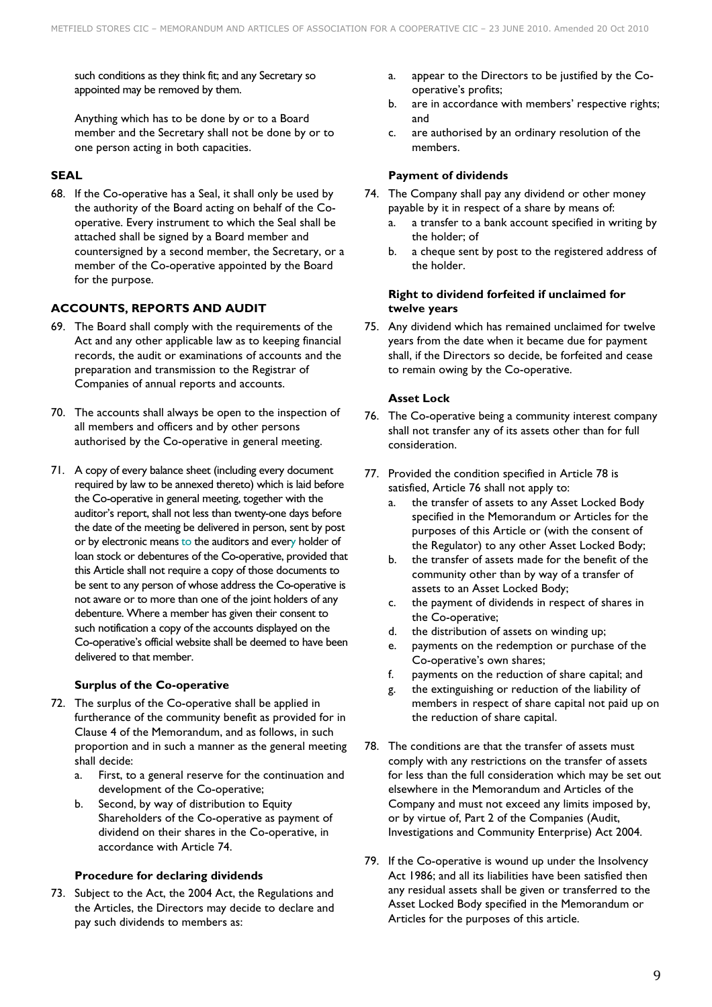such conditions as they think fit; and any Secretary so appointed may be removed by them.

Anything which has to be done by or to a Board member and the Secretary shall not be done by or to one person acting in both capacities.

# **SEAL**

68. If the Co-operative has a Seal, it shall only be used by the authority of the Board acting on behalf of the Cooperative. Every instrument to which the Seal shall be attached shall be signed by a Board member and countersigned by a second member, the Secretary, or a member of the Co-operative appointed by the Board for the purpose.

# **ACCOUNTS, REPORTS AND AUDIT**

- 69. The Board shall comply with the requirements of the Act and any other applicable law as to keeping financial records, the audit or examinations of accounts and the preparation and transmission to the Registrar of Companies of annual reports and accounts.
- 70. The accounts shall always be open to the inspection of all members and officers and by other persons authorised by the Co-operative in general meeting.
- 71. A copy of every balance sheet (including every document required by law to be annexed thereto) which is laid before the Co-operative in general meeting, together with the auditor's report, shall not less than twenty-one days before the date of the meeting be delivered in person, sent by post or by electronic means to the auditors and every holder of loan stock or debentures of the Co-operative, provided that this Article shall not require a copy of those documents to be sent to any person of whose address the Co-operative is not aware or to more than one of the joint holders of any debenture. Where a member has given their consent to such notification a copy of the accounts displayed on the Co-operative's official website shall be deemed to have been delivered to that member.

## **Surplus of the Co-operative**

- 72. The surplus of the Co-operative shall be applied in furtherance of the community benefit as provided for in Clause 4 of the Memorandum, and as follows, in such proportion and in such a manner as the general meeting shall decide:
	- a. First, to a general reserve for the continuation and development of the Co-operative;
	- b. Second, by way of distribution to Equity Shareholders of the Co-operative as payment of dividend on their shares in the Co-operative, in accordance with Article 74.

### **Procedure for declaring dividends**

73. Subject to the Act, the 2004 Act, the Regulations and the Articles, the Directors may decide to declare and pay such dividends to members as:

- a. appear to the Directors to be justified by the Cooperative's profits;
- b. are in accordance with members' respective rights; and
- c. are authorised by an ordinary resolution of the members.

### **Payment of dividends**

- 74. The Company shall pay any dividend or other money payable by it in respect of a share by means of:
	- a. a transfer to a bank account specified in writing by the holder; of
	- b. a cheque sent by post to the registered address of the holder.

### **Right to dividend forfeited if unclaimed for twelve years**

75. Any dividend which has remained unclaimed for twelve years from the date when it became due for payment shall, if the Directors so decide, be forfeited and cease to remain owing by the Co-operative.

### **Asset Lock**

- 76. The Co-operative being a community interest company shall not transfer any of its assets other than for full consideration.
- 77. Provided the condition specified in Article 78 is satisfied, Article 76 shall not apply to:
	- a. the transfer of assets to any Asset Locked Body specified in the Memorandum or Articles for the purposes of this Article or (with the consent of the Regulator) to any other Asset Locked Body;
	- b. the transfer of assets made for the benefit of the community other than by way of a transfer of assets to an Asset Locked Body;
	- c. the payment of dividends in respect of shares in the Co-operative;
	- d. the distribution of assets on winding up;
	- e. payments on the redemption or purchase of the Co-operative's own shares;
	- f. payments on the reduction of share capital; and
	- g. the extinguishing or reduction of the liability of members in respect of share capital not paid up on the reduction of share capital.
- 78. The conditions are that the transfer of assets must comply with any restrictions on the transfer of assets for less than the full consideration which may be set out elsewhere in the Memorandum and Articles of the Company and must not exceed any limits imposed by, or by virtue of, Part 2 of the Companies (Audit, Investigations and Community Enterprise) Act 2004.
- 79. If the Co-operative is wound up under the Insolvency Act 1986; and all its liabilities have been satisfied then any residual assets shall be given or transferred to the Asset Locked Body specified in the Memorandum or Articles for the purposes of this article.